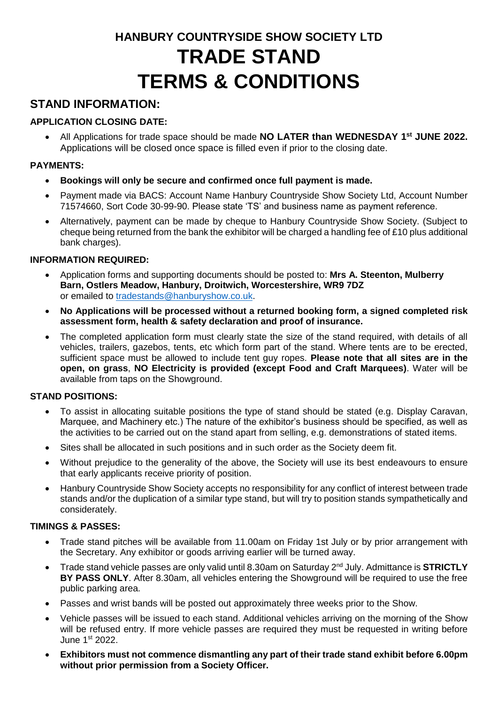# **HANBURY COUNTRYSIDE SHOW SOCIETY LTD TRADE STAND TERMS & CONDITIONS**

# **STAND INFORMATION:**

# **APPLICATION CLOSING DATE:**

• All Applications for trade space should be made **NO LATER than WEDNESDAY 1<sup>st</sup> JUNE 2022.** Applications will be closed once space is filled even if prior to the closing date.

# **PAYMENTS:**

- **Bookings will only be secure and confirmed once full payment is made.**
- Payment made via BACS: Account Name Hanbury Countryside Show Society Ltd, Account Number 71574660, Sort Code 30-99-90. Please state 'TS' and business name as payment reference.
- Alternatively, payment can be made by cheque to Hanbury Countryside Show Society. (Subject to cheque being returned from the bank the exhibitor will be charged a handling fee of  $£10$  plus additional bank charges).

# **INFORMATION REQUIRED:**

- Application forms and supporting documents should be posted to: **Mrs A. Steenton, Mulberry Barn, Ostlers Meadow, Hanbury, Droitwich, Worcestershire, WR9 7DZ**  or emailed to [tradestands@hanburyshow.co.uk.](mailto:tradestands@hanburyshow.co.uk)
- **No Applications will be processed without a returned booking form, a signed completed risk assessment form, health & safety declaration and proof of insurance.**
- The completed application form must clearly state the size of the stand required, with details of all vehicles, trailers, gazebos, tents, etc which form part of the stand. Where tents are to be erected, sufficient space must be allowed to include tent guy ropes. **Please note that all sites are in the open, on grass**, **NO Electricity is provided (except Food and Craft Marquees)**. Water will be available from taps on the Showground.

# **STAND POSITIONS:**

- To assist in allocating suitable positions the type of stand should be stated (e.g. Display Caravan, Marquee, and Machinery etc.) The nature of the exhibitor's business should be specified, as well as the activities to be carried out on the stand apart from selling, e.g. demonstrations of stated items.
- Sites shall be allocated in such positions and in such order as the Society deem fit.
- Without prejudice to the generality of the above, the Society will use its best endeavours to ensure that early applicants receive priority of position.
- Hanbury Countryside Show Society accepts no responsibility for any conflict of interest between trade stands and/or the duplication of a similar type stand, but will try to position stands sympathetically and considerately.

# **TIMINGS & PASSES:**

- Trade stand pitches will be available from 11.00am on Friday 1st July or by prior arrangement with the Secretary. Any exhibitor or goods arriving earlier will be turned away.
- Trade stand vehicle passes are only valid until 8.30am on Saturday 2nd July. Admittance is **STRICTLY BY PASS ONLY**. After 8.30am, all vehicles entering the Showground will be required to use the free public parking area.
- Passes and wrist bands will be posted out approximately three weeks prior to the Show.
- Vehicle passes will be issued to each stand. Additional vehicles arriving on the morning of the Show will be refused entry. If more vehicle passes are required they must be requested in writing before June 1<sup>st</sup> 2022.
- **Exhibitors must not commence dismantling any part of their trade stand exhibit before 6.00pm without prior permission from a Society Officer.**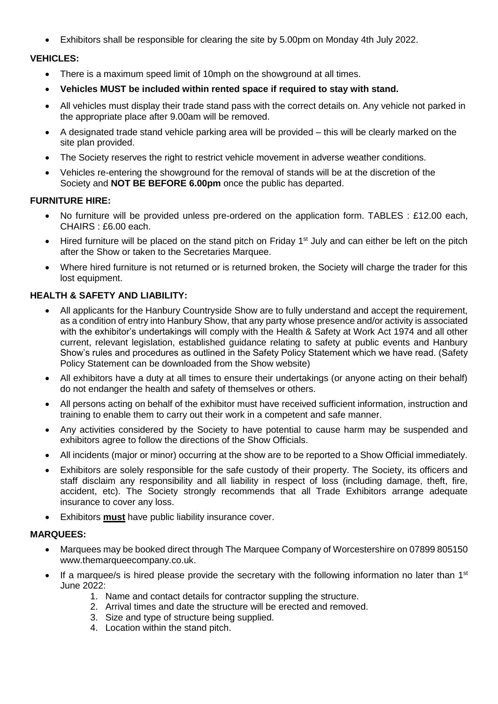Exhibitors shall be responsible for clearing the site by 5.00pm on Monday 4th July 2022.

# **VEHICLES:**

- There is a maximum speed limit of 10mph on the showground at all times.
- **Vehicles MUST be included within rented space if required to stay with stand.**
- All vehicles must display their trade stand pass with the correct details on. Any vehicle not parked in the appropriate place after 9.00am will be removed.
- A designated trade stand vehicle parking area will be provided this will be clearly marked on the site plan provided.
- The Society reserves the right to restrict vehicle movement in adverse weather conditions.
- Vehicles re-entering the showground for the removal of stands will be at the discretion of the Society and **NOT BE BEFORE 6.00pm** once the public has departed.

#### **FURNITURE HIRE:**

- No furniture will be provided unless pre-ordered on the application form. TABLES : £12.00 each, CHAIRS : £6.00 each.
- Hired furniture will be placed on the stand pitch on Friday  $1<sup>st</sup>$  July and can either be left on the pitch after the Show or taken to the Secretaries Marquee.
- Where hired furniture is not returned or is returned broken, the Society will charge the trader for this lost equipment.

# **HEALTH & SAFETY AND LIABILITY:**

- All applicants for the Hanbury Countryside Show are to fully understand and accept the requirement, as a condition of entry into Hanbury Show, that any party whose presence and/or activity is associated with the exhibitor's undertakings will comply with the Health & Safety at Work Act 1974 and all other current, relevant legislation, established guidance relating to safety at public events and Hanbury Show's rules and procedures as outlined in the Safety Policy Statement which we have read. (Safety Policy Statement can be downloaded from the Show website)
- All exhibitors have a duty at all times to ensure their undertakings (or anyone acting on their behalf) do not endanger the health and safety of themselves or others.
- All persons acting on behalf of the exhibitor must have received sufficient information, instruction and training to enable them to carry out their work in a competent and safe manner.
- Any activities considered by the Society to have potential to cause harm may be suspended and exhibitors agree to follow the directions of the Show Officials.
- All incidents (major or minor) occurring at the show are to be reported to a Show Official immediately.
- Exhibitors are solely responsible for the safe custody of their property. The Society, its officers and staff disclaim any responsibility and all liability in respect of loss (including damage, theft, fire, accident, etc). The Society strongly recommends that all Trade Exhibitors arrange adequate insurance to cover any loss.
- Exhibitors **must** have public liability insurance cover.

# **MARQUEES:**

- Marquees may be booked direct through The Marquee Company of Worcestershire on 07899 805150 www.themarqueecompany.co.uk.
- If a marquee/s is hired please provide the secretary with the following information no later than  $1<sup>st</sup>$ June 2022:
	- 1. Name and contact details for contractor suppling the structure.
	- 2. Arrival times and date the structure will be erected and removed.
	- 3. Size and type of structure being supplied.
	- 4. Location within the stand pitch.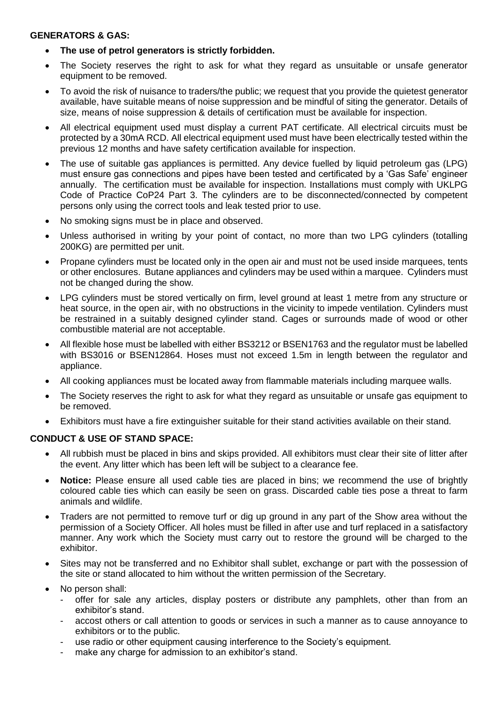#### **GENERATORS & GAS:**

- **The use of petrol generators is strictly forbidden.**
- The Society reserves the right to ask for what they regard as unsuitable or unsafe generator equipment to be removed.
- To avoid the risk of nuisance to traders/the public; we request that you provide the quietest generator available, have suitable means of noise suppression and be mindful of siting the generator. Details of size, means of noise suppression & details of certification must be available for inspection.
- All electrical equipment used must display a current PAT certificate. All electrical circuits must be protected by a 30mA RCD. All electrical equipment used must have been electrically tested within the previous 12 months and have safety certification available for inspection.
- The use of suitable gas appliances is permitted. Any device fuelled by liquid petroleum gas (LPG) must ensure gas connections and pipes have been tested and certificated by a 'Gas Safe' engineer annually. The certification must be available for inspection. Installations must comply with UKLPG Code of Practice CoP24 Part 3. The cylinders are to be disconnected/connected by competent persons only using the correct tools and leak tested prior to use.
- No smoking signs must be in place and observed.
- Unless authorised in writing by your point of contact, no more than two LPG cylinders (totalling 200KG) are permitted per unit.
- Propane cylinders must be located only in the open air and must not be used inside marquees, tents or other enclosures. Butane appliances and cylinders may be used within a marquee. Cylinders must not be changed during the show.
- LPG cylinders must be stored vertically on firm, level ground at least 1 metre from any structure or heat source, in the open air, with no obstructions in the vicinity to impede ventilation. Cylinders must be restrained in a suitably designed cylinder stand. Cages or surrounds made of wood or other combustible material are not acceptable.
- All flexible hose must be labelled with either BS3212 or BSEN1763 and the regulator must be labelled with BS3016 or BSEN12864. Hoses must not exceed 1.5m in length between the regulator and appliance.
- All cooking appliances must be located away from flammable materials including marquee walls.
- The Society reserves the right to ask for what they regard as unsuitable or unsafe gas equipment to be removed.
- Exhibitors must have a fire extinguisher suitable for their stand activities available on their stand.

# **CONDUCT & USE OF STAND SPACE:**

- All rubbish must be placed in bins and skips provided. All exhibitors must clear their site of litter after the event. Any litter which has been left will be subject to a clearance fee.
- **Notice:** Please ensure all used cable ties are placed in bins; we recommend the use of brightly coloured cable ties which can easily be seen on grass. Discarded cable ties pose a threat to farm animals and wildlife.
- Traders are not permitted to remove turf or dig up ground in any part of the Show area without the permission of a Society Officer. All holes must be filled in after use and turf replaced in a satisfactory manner. Any work which the Society must carry out to restore the ground will be charged to the exhibitor.
- Sites may not be transferred and no Exhibitor shall sublet, exchange or part with the possession of the site or stand allocated to him without the written permission of the Secretary.
- No person shall:
	- offer for sale any articles, display posters or distribute any pamphlets, other than from an exhibitor's stand.
	- accost others or call attention to goods or services in such a manner as to cause annoyance to exhibitors or to the public.
	- use radio or other equipment causing interference to the Society's equipment.
	- make any charge for admission to an exhibitor's stand.